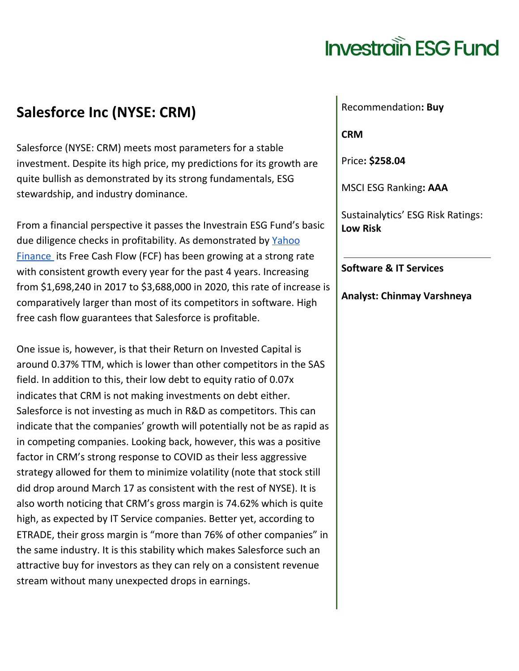#### **Salesforce Inc (NYSE: CRM)**

Salesforce (NYSE: CRM) meets most parameters for a stable investment. Despite its high price, my predictions for its growth are quite bullish as demonstrated by its strong fundamentals, ESG stewardship, and industry dominance.

From a financial perspective it passes the Investrain ESG Fund's basic due diligence checks in profitability. As demonstrated by [Yahoo](https://finance.yahoo.com/quote/CRM/cash-flow/) [Finance](https://finance.yahoo.com/quote/CRM/cash-flow/) its Free Cash Flow (FCF) has been growing at a strong rate with consistent growth every year for the past 4 years. Increasing from \$1,698,240 in 2017 to \$3,688,000 in 2020, this rate of increase is comparatively larger than most of its competitors in software. High free cash flow guarantees that Salesforce is profitable.

One issue is, however, is that their Return on Invested Capital is around 0.37% TTM, which is lower than other competitors in the SAS field. In addition to this, their low debt to equity ratio of 0.07x indicates that CRM is not making investments on debt either. Salesforce is not investing as much in R&D as competitors. This can indicate that the companies' growth will potentially not be as rapid as in competing companies. Looking back, however, this was a positive factor in CRM's strong response to COVID as their less aggressive strategy allowed for them to minimize volatility (note that stock still did drop around March 17 as consistent with the rest of NYSE). It is also worth noticing that CRM's gross margin is 74.62% which is quite high, as expected by IT Service companies. Better yet, according to ETRADE, their gross margin is "more than 76% of other companies" in the same industry. It is this stability which makes Salesforce such an attractive buy for investors as they can rely on a consistent revenue stream without many unexpected drops in earnings.

Recommendation**: Buy**

**CRM**

Price**: \$258.04**

MSCI ESG Ranking**: AAA**

Sustainalytics' ESG Risk Ratings: **Low Risk**

**Software & IT Services**

**Analyst: Chinmay Varshneya**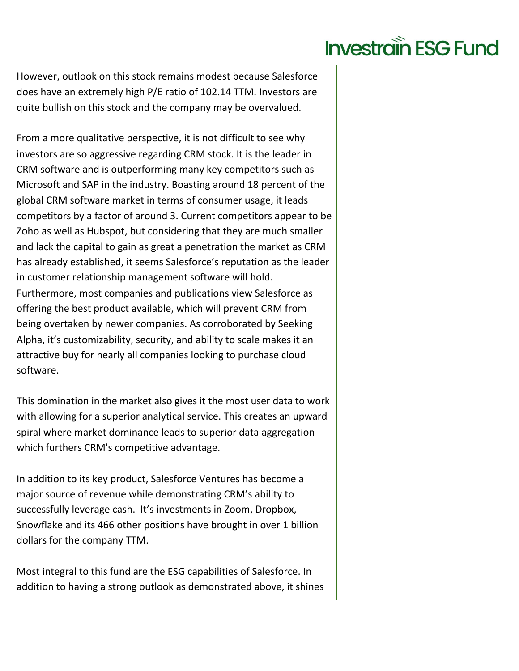However, outlook on this stock remains modest because Salesforce does have an extremely high P/E ratio of 102.14 TTM. Investors are quite bullish on this stock and the company may be overvalued.

From a more qualitative perspective, it is not difficult to see why investors are so aggressive regarding CRM stock. It is the leader in CRM software and is outperforming many key competitors such as Microsoft and SAP in the industry. Boasting around 18 percent of the global CRM software market in terms of consumer usage, it leads competitors by a factor of around 3. Current competitors appear to be Zoho as well as Hubspot, but considering that they are much smaller and lack the capital to gain as great a penetration the market as CRM has already established, it seems Salesforce's reputation as the leader in customer relationship management software will hold. Furthermore, most companies and publications view Salesforce as offering the best product available, which will prevent CRM from being overtaken by newer companies. As corroborated by Seeking Alpha, it's customizability, security, and ability to scale makes it an attractive buy for nearly all companies looking to purchase cloud software.

This domination in the market also gives it the most user data to work with allowing for a superior analytical service. This creates an upward spiral where market dominance leads to superior data aggregation which furthers CRM's competitive advantage.

In addition to its key product, Salesforce Ventures has become a major source of revenue while demonstrating CRM's ability to successfully leverage cash. It's investments in Zoom, Dropbox, Snowflake and its 466 other positions have brought in over 1 billion dollars for the company TTM.

Most integral to this fund are the ESG capabilities of Salesforce. In addition to having a strong outlook as demonstrated above, it shines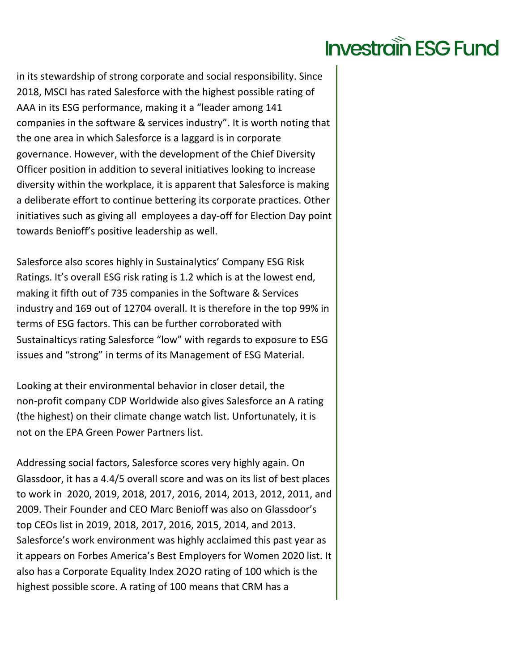in its stewardship of strong corporate and social responsibility. Since 2018, MSCI has rated Salesforce with the highest possible rating of AAA in its ESG performance, making it a "leader among 141 companies in the software & services industry". It is worth noting that the one area in which Salesforce is a laggard is in corporate governance. However, with the development of the Chief Diversity Officer position in addition to several initiatives looking to increase diversity within the workplace, it is apparent that Salesforce is making a deliberate effort to continue bettering its corporate practices. Other initiatives such as giving all employees a day-off for Election Day point towards Benioff's positive leadership as well.

Salesforce also scores highly in Sustainalytics' Company ESG Risk Ratings. It's overall ESG risk rating is 1.2 which is at the lowest end, making it fifth out of 735 companies in the Software & Services industry and 169 out of 12704 overall. It is therefore in the top 99% in terms of ESG factors. This can be further corroborated with Sustainalticys rating Salesforce "low" with regards to exposure to ESG issues and "strong" in terms of its Management of ESG Material.

Looking at their environmental behavior in closer detail, the non-profit company CDP Worldwide also gives Salesforce an A rating (the highest) on their climate change watch list. Unfortunately, it is not on the EPA Green Power Partners list.

Addressing social factors, Salesforce scores very highly again. On Glassdoor, it has a 4.4/5 overall score and was on its list of best places to work in 2020, 2019, 2018, 2017, 2016, 2014, 2013, 2012, 2011, and 2009. Their Founder and CEO Marc Benioff was also on Glassdoor's top CEOs list in 2019, 2018, 2017, 2016, 2015, 2014, and 2013. Salesforce's work environment was highly acclaimed this past year as it appears on Forbes America's Best Employers for Women 2020 list. It also has a Corporate Equality Index 2O2O rating of 100 which is the highest possible score. A rating of 100 means that CRM has a